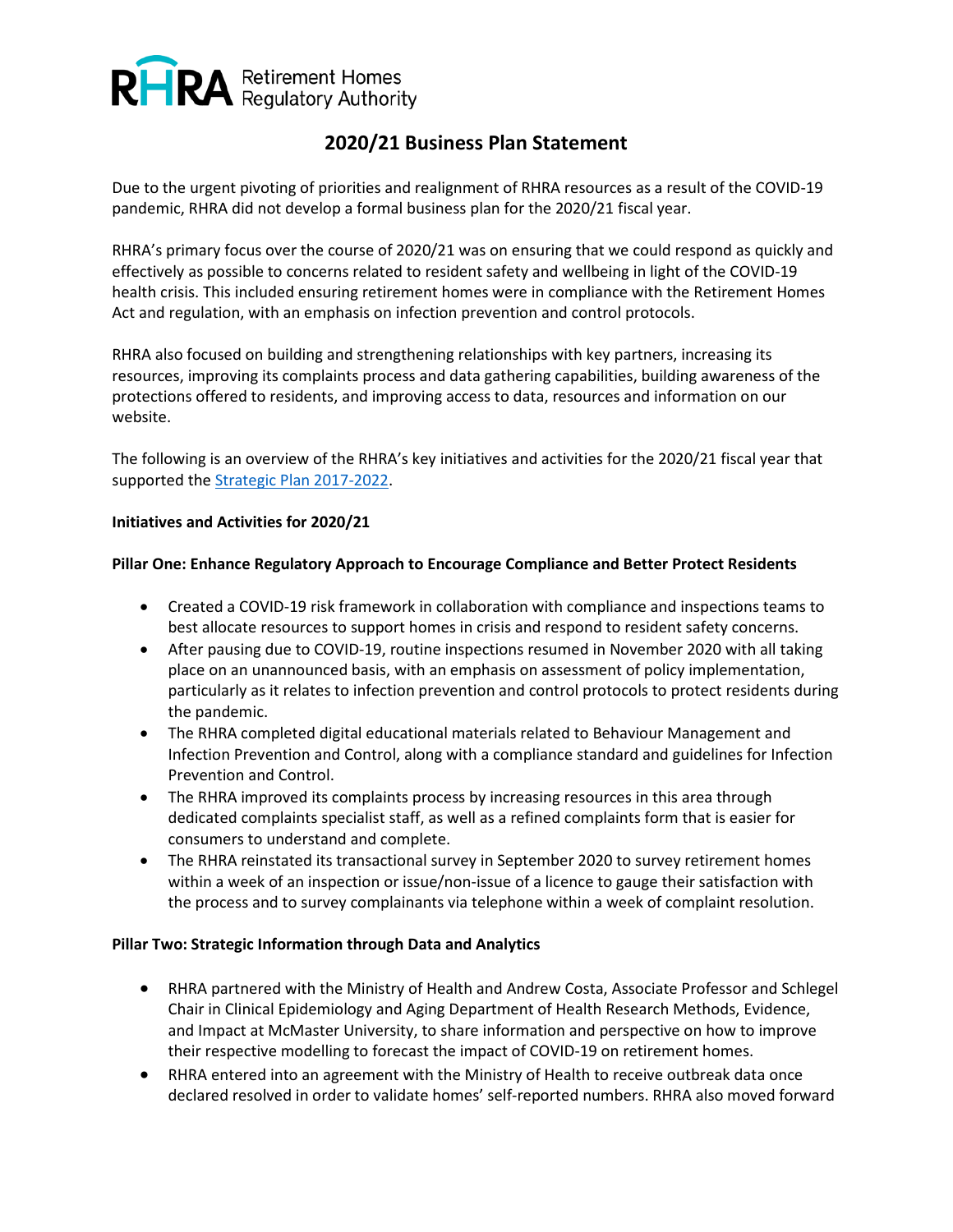

# **2020/21 Business Plan Statement**

Due to the urgent pivoting of priorities and realignment of RHRA resources as a result of the COVID-19 pandemic, RHRA did not develop a formal business plan for the 2020/21 fiscal year.

RHRA's primary focus over the course of 2020/21 was on ensuring that we could respond as quickly and effectively as possible to concerns related to resident safety and wellbeing in light of the COVID-19 health crisis. This included ensuring retirement homes were in compliance with the Retirement Homes Act and regulation, with an emphasis on infection prevention and control protocols.

RHRA also focused on building and strengthening relationships with key partners, increasing its resources, improving its complaints process and data gathering capabilities, building awareness of the protections offered to residents, and improving access to data, resources and information on our website.

The following is an overview of the RHRA's key initiatives and activities for the 2020/21 fiscal year that supported the [Strategic Plan 2017-2022.](https://www.rhra.ca/wp-content/uploads/2017/10/RHRA-Strategic-Plan-External-2017-01-24.pdf)

## **Initiatives and Activities for 2020/21**

## **Pillar One: Enhance Regulatory Approach to Encourage Compliance and Better Protect Residents**

- Created a COVID-19 risk framework in collaboration with compliance and inspections teams to best allocate resources to support homes in crisis and respond to resident safety concerns.
- After pausing due to COVID-19, routine inspections resumed in November 2020 with all taking place on an unannounced basis, with an emphasis on assessment of policy implementation, particularly as it relates to infection prevention and control protocols to protect residents during the pandemic.
- The RHRA completed digital educational materials related to Behaviour Management and Infection Prevention and Control, along with a compliance standard and guidelines for Infection Prevention and Control.
- The RHRA improved its complaints process by increasing resources in this area through dedicated complaints specialist staff, as well as a refined complaints form that is easier for consumers to understand and complete.
- The RHRA reinstated its transactional survey in September 2020 to survey retirement homes within a week of an inspection or issue/non-issue of a licence to gauge their satisfaction with the process and to survey complainants via telephone within a week of complaint resolution.

#### **Pillar Two: Strategic Information through Data and Analytics**

- RHRA partnered with the Ministry of Health and Andrew Costa, Associate Professor and Schlegel Chair in Clinical Epidemiology and Aging Department of Health Research Methods, Evidence, and Impact at McMaster University, to share information and perspective on how to improve their respective modelling to forecast the impact of COVID-19 on retirement homes.
- RHRA entered into an agreement with the Ministry of Health to receive outbreak data once declared resolved in order to validate homes' self-reported numbers. RHRA also moved forward